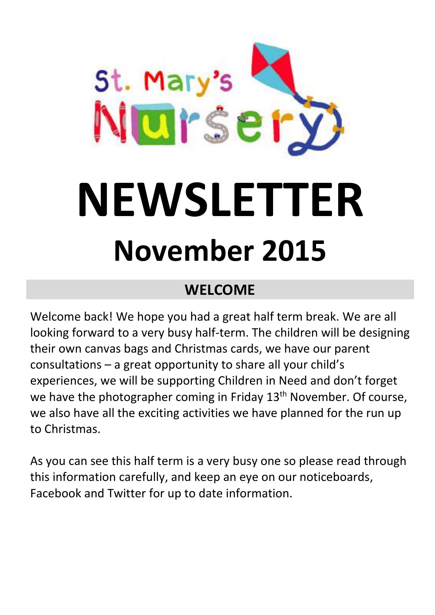

# **WELCOME**

Welcome back! We hope you had a great half term break. We are all looking forward to a very busy half-term. The children will be designing their own canvas bags and Christmas cards, we have our parent consultations – a great opportunity to share all your child's experiences, we will be supporting Children in Need and don't forget we have the photographer coming in Friday 13<sup>th</sup> November. Of course, we also have all the exciting activities we have planned for the run up to Christmas.

As you can see this half term is a very busy one so please read through this information carefully, and keep an eye on our noticeboards, Facebook and Twitter for up to date information.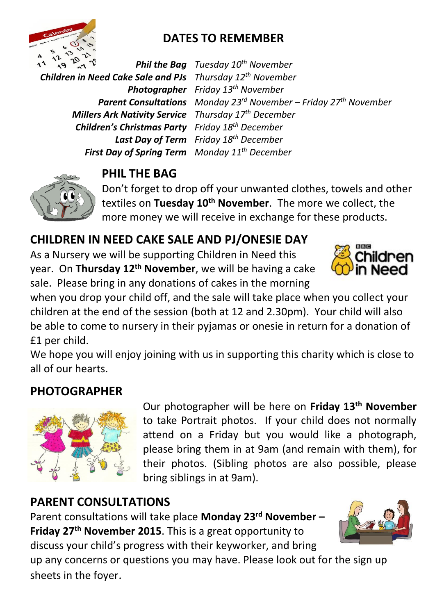

### **DATES TO REMEMBER**

*Children in Need Cake Sale and PJs Thursday 12th November Photographer Friday 13th November Millers Ark Nativity Service Thursday 17th December Children's Christmas Party Friday 18 th December Last Day of Term Friday 18th December First Day of Spring Term Monday 11th December*

*Phil the Bag Tuesday 10 th November Parent Consultations Monday 23rd November – Friday 27 th November*



#### **PHIL THE BAG**

Don't forget to drop off your unwanted clothes, towels and other textiles on **Tuesday 10th November**. The more we collect, the more money we will receive in exchange for these products.

#### **CHILDREN IN NEED CAKE SALE AND PJ/ONESIE DAY**

As a Nursery we will be supporting Children in Need this year. On **Thursday 12th November**, we will be having a cake sale. Please bring in any donations of cakes in the morning



when you drop your child off, and the sale will take place when you collect your children at the end of the session (both at 12 and 2.30pm). Your child will also be able to come to nursery in their pyjamas or onesie in return for a donation of £1 per child.

We hope you will enjoy joining with us in supporting this charity which is close to all of our hearts.

#### **PHOTOGRAPHER**



Our photographer will be here on **Friday 13th November** to take Portrait photos. If your child does not normally attend on a Friday but you would like a photograph, please bring them in at 9am (and remain with them), for their photos. (Sibling photos are also possible, please bring siblings in at 9am).

#### **PARENT CONSULTATIONS**

Parent consultations will take place **Monday 23rd November – Friday 27th November 2015**. This is a great opportunity to discuss your child's progress with their keyworker, and bring



up any concerns or questions you may have. Please look out for the sign up sheets in the foyer.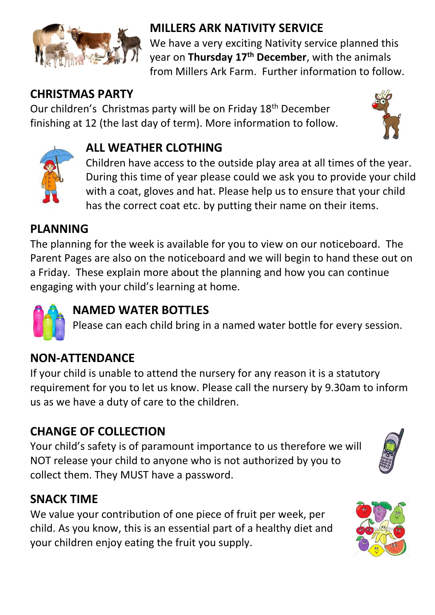

## **MILLERS ARK NATIVITY SERVICE**

We have a very exciting Nativity service planned this year on **Thursday 17th December**, with the animals from Millers Ark Farm. Further information to follow.

### **CHRISTMAS PARTY**

Our children's Christmas party will be on Friday 18th December finishing at 12 (the last day of term). More information to follow.





#### **ALL WEATHER CLOTHING**

Children have access to the outside play area at all times of the year. During this time of year please could we ask you to provide your child with a coat, gloves and hat. Please help us to ensure that your child has the correct coat etc. by putting their name on their items.

### **PLANNING**

The planning for the week is available for you to view on our noticeboard. The Parent Pages are also on the noticeboard and we will begin to hand these out on a Friday. These explain more about the planning and how you can continue engaging with your child's learning at home.



## **NAMED WATER BOTTLES**

Please can each child bring in a named water bottle for every session.

## **NON-ATTENDANCE**

If your child is unable to attend the nursery for any reason it is a statutory requirement for you to let us know. Please call the nursery by 9.30am to inform us as we have a duty of care to the children.

## **CHANGE OF COLLECTION**

Your child's safety is of paramount importance to us therefore we will NOT release your child to anyone who is not authorized by you to collect them. They MUST have a password.



#### **SNACK TIME**

We value your contribution of one piece of fruit per week, per child. As you know, this is an essential part of a healthy diet and your children enjoy eating the fruit you supply.